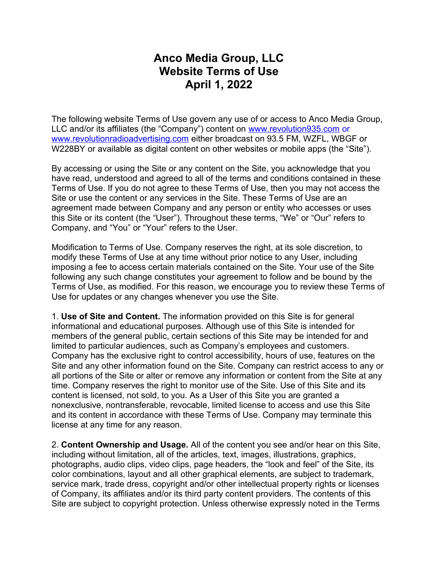## **Anco Media Group, LLC Website Terms of Use April 1, 2022**

The following website Terms of Use govern any use of or access to Anco Media Group, LLC and/or its affiliates (the "Company") content on [www.revolution935.com](http://www.revolution935.com/) or [www.revolutionradioadvertising.com](http://www.revolutionradioadvertising.com/) either broadcast on 93.5 FM, WZFL, WBGF or W228BY or available as digital content on other websites or mobile apps (the "Site").

By accessing or using the Site or any content on the Site, you acknowledge that you have read, understood and agreed to all of the terms and conditions contained in these Terms of Use. If you do not agree to these Terms of Use, then you may not access the Site or use the content or any services in the Site. These Terms of Use are an agreement made between Company and any person or entity who accesses or uses this Site or its content (the "User"). Throughout these terms, "We" or "Our" refers to Company, and "You" or "Your" refers to the User.

Modification to Terms of Use. Company reserves the right, at its sole discretion, to modify these Terms of Use at any time without prior notice to any User, including imposing a fee to access certain materials contained on the Site. Your use of the Site following any such change constitutes your agreement to follow and be bound by the Terms of Use, as modified. For this reason, we encourage you to review these Terms of Use for updates or any changes whenever you use the Site.

1. **Use of Site and Content.** The information provided on this Site is for general informational and educational purposes. Although use of this Site is intended for members of the general public, certain sections of this Site may be intended for and limited to particular audiences, such as Company's employees and customers. Company has the exclusive right to control accessibility, hours of use, features on the Site and any other information found on the Site. Company can restrict access to any or all portions of the Site or alter or remove any information or content from the Site at any time. Company reserves the right to monitor use of the Site. Use of this Site and its content is licensed, not sold, to you. As a User of this Site you are granted a nonexclusive, nontransferable, revocable, limited license to access and use this Site and its content in accordance with these Terms of Use. Company may terminate this license at any time for any reason.

2. **Content Ownership and Usage.** All of the content you see and/or hear on this Site, including without limitation, all of the articles, text, images, illustrations, graphics, photographs, audio clips, video clips, page headers, the "look and feel" of the Site, its color combinations, layout and all other graphical elements, are subject to trademark, service mark, trade dress, copyright and/or other intellectual property rights or licenses of Company, its affiliates and/or its third party content providers. The contents of this Site are subject to copyright protection. Unless otherwise expressly noted in the Terms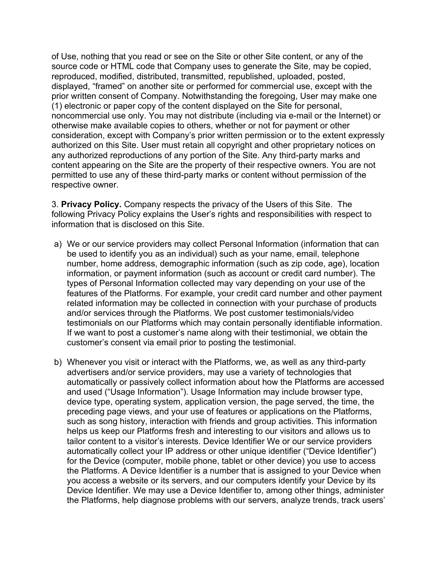of Use, nothing that you read or see on the Site or other Site content, or any of the source code or HTML code that Company uses to generate the Site, may be copied, reproduced, modified, distributed, transmitted, republished, uploaded, posted, displayed, "framed" on another site or performed for commercial use, except with the prior written consent of Company. Notwithstanding the foregoing, User may make one (1) electronic or paper copy of the content displayed on the Site for personal, noncommercial use only. You may not distribute (including via e-mail or the Internet) or otherwise make available copies to others, whether or not for payment or other consideration, except with Company's prior written permission or to the extent expressly authorized on this Site. User must retain all copyright and other proprietary notices on any authorized reproductions of any portion of the Site. Any third-party marks and content appearing on the Site are the property of their respective owners. You are not permitted to use any of these third-party marks or content without permission of the respective owner.

3. **Privacy Policy.** Company respects the privacy of the Users of this Site. The following Privacy Policy explains the User's rights and responsibilities with respect to information that is disclosed on this Site.

- a) We or our service providers may collect Personal Information (information that can be used to identify you as an individual) such as your name, email, telephone number, home address, demographic information (such as zip code, age), location information, or payment information (such as account or credit card number). The types of Personal Information collected may vary depending on your use of the features of the Platforms. For example, your credit card number and other payment related information may be collected in connection with your purchase of products and/or services through the Platforms. We post customer testimonials/video testimonials on our Platforms which may contain personally identifiable information. If we want to post a customer's name along with their testimonial, we obtain the customer's consent via email prior to posting the testimonial.
- b) Whenever you visit or interact with the Platforms, we, as well as any third-party advertisers and/or service providers, may use a variety of technologies that automatically or passively collect information about how the Platforms are accessed and used ("Usage Information"). Usage Information may include browser type, device type, operating system, application version, the page served, the time, the preceding page views, and your use of features or applications on the Platforms, such as song history, interaction with friends and group activities. This information helps us keep our Platforms fresh and interesting to our visitors and allows us to tailor content to a visitor's interests. Device Identifier We or our service providers automatically collect your IP address or other unique identifier ("Device Identifier") for the Device (computer, mobile phone, tablet or other device) you use to access the Platforms. A Device Identifier is a number that is assigned to your Device when you access a website or its servers, and our computers identify your Device by its Device Identifier. We may use a Device Identifier to, among other things, administer the Platforms, help diagnose problems with our servers, analyze trends, track users'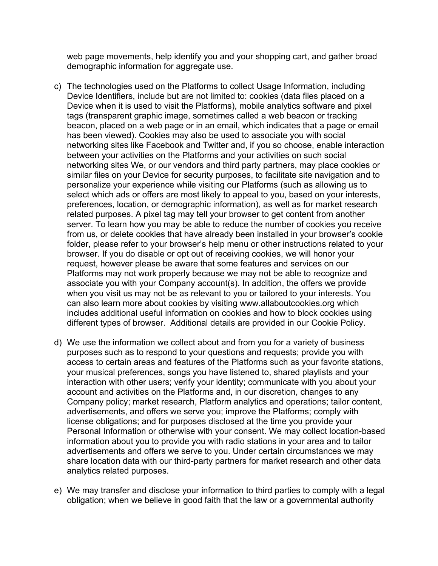web page movements, help identify you and your shopping cart, and gather broad demographic information for aggregate use.

- c) The technologies used on the Platforms to collect Usage Information, including Device Identifiers, include but are not limited to: cookies (data files placed on a Device when it is used to visit the Platforms), mobile analytics software and pixel tags (transparent graphic image, sometimes called a web beacon or tracking beacon, placed on a web page or in an email, which indicates that a page or email has been viewed). Cookies may also be used to associate you with social networking sites like Facebook and Twitter and, if you so choose, enable interaction between your activities on the Platforms and your activities on such social networking sites We, or our vendors and third party partners, may place cookies or similar files on your Device for security purposes, to facilitate site navigation and to personalize your experience while visiting our Platforms (such as allowing us to select which ads or offers are most likely to appeal to you, based on your interests, preferences, location, or demographic information), as well as for market research related purposes. A pixel tag may tell your browser to get content from another server. To learn how you may be able to reduce the number of cookies you receive from us, or delete cookies that have already been installed in your browser's cookie folder, please refer to your browser's help menu or other instructions related to your browser. If you do disable or opt out of receiving cookies, we will honor your request, however please be aware that some features and services on our Platforms may not work properly because we may not be able to recognize and associate you with your Company account(s). In addition, the offers we provide when you visit us may not be as relevant to you or tailored to your interests. You can also learn more about cookies by visiting www.allaboutcookies.org which includes additional useful information on cookies and how to block cookies using different types of browser. Additional details are provided in our Cookie Policy.
- d) We use the information we collect about and from you for a variety of business purposes such as to respond to your questions and requests; provide you with access to certain areas and features of the Platforms such as your favorite stations, your musical preferences, songs you have listened to, shared playlists and your interaction with other users; verify your identity; communicate with you about your account and activities on the Platforms and, in our discretion, changes to any Company policy; market research, Platform analytics and operations; tailor content, advertisements, and offers we serve you; improve the Platforms; comply with license obligations; and for purposes disclosed at the time you provide your Personal Information or otherwise with your consent. We may collect location-based information about you to provide you with radio stations in your area and to tailor advertisements and offers we serve to you. Under certain circumstances we may share location data with our third-party partners for market research and other data analytics related purposes.
- e) We may transfer and disclose your information to third parties to comply with a legal obligation; when we believe in good faith that the law or a governmental authority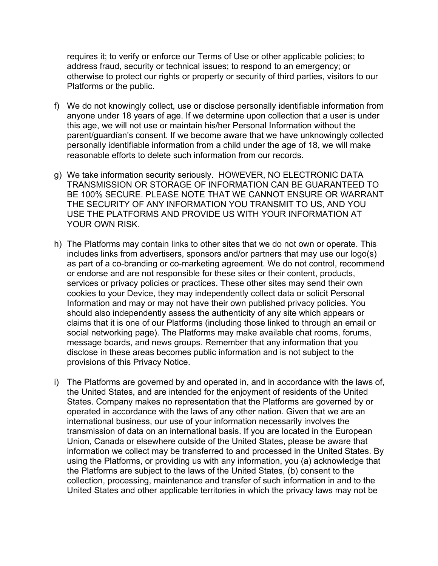requires it; to verify or enforce our Terms of Use or other applicable policies; to address fraud, security or technical issues; to respond to an emergency; or otherwise to protect our rights or property or security of third parties, visitors to our Platforms or the public.

- f) We do not knowingly collect, use or disclose personally identifiable information from anyone under 18 years of age. If we determine upon collection that a user is under this age, we will not use or maintain his/her Personal Information without the parent/guardian's consent. If we become aware that we have unknowingly collected personally identifiable information from a child under the age of 18, we will make reasonable efforts to delete such information from our records.
- g) We take information security seriously. HOWEVER, NO ELECTRONIC DATA TRANSMISSION OR STORAGE OF INFORMATION CAN BE GUARANTEED TO BE 100% SECURE. PLEASE NOTE THAT WE CANNOT ENSURE OR WARRANT THE SECURITY OF ANY INFORMATION YOU TRANSMIT TO US, AND YOU USE THE PLATFORMS AND PROVIDE US WITH YOUR INFORMATION AT YOUR OWN RISK.
- h) The Platforms may contain links to other sites that we do not own or operate. This includes links from advertisers, sponsors and/or partners that may use our logo(s) as part of a co-branding or co-marketing agreement. We do not control, recommend or endorse and are not responsible for these sites or their content, products, services or privacy policies or practices. These other sites may send their own cookies to your Device, they may independently collect data or solicit Personal Information and may or may not have their own published privacy policies. You should also independently assess the authenticity of any site which appears or claims that it is one of our Platforms (including those linked to through an email or social networking page). The Platforms may make available chat rooms, forums, message boards, and news groups. Remember that any information that you disclose in these areas becomes public information and is not subject to the provisions of this Privacy Notice.
- i) The Platforms are governed by and operated in, and in accordance with the laws of, the United States, and are intended for the enjoyment of residents of the United States. Company makes no representation that the Platforms are governed by or operated in accordance with the laws of any other nation. Given that we are an international business, our use of your information necessarily involves the transmission of data on an international basis. If you are located in the European Union, Canada or elsewhere outside of the United States, please be aware that information we collect may be transferred to and processed in the United States. By using the Platforms, or providing us with any information, you (a) acknowledge that the Platforms are subject to the laws of the United States, (b) consent to the collection, processing, maintenance and transfer of such information in and to the United States and other applicable territories in which the privacy laws may not be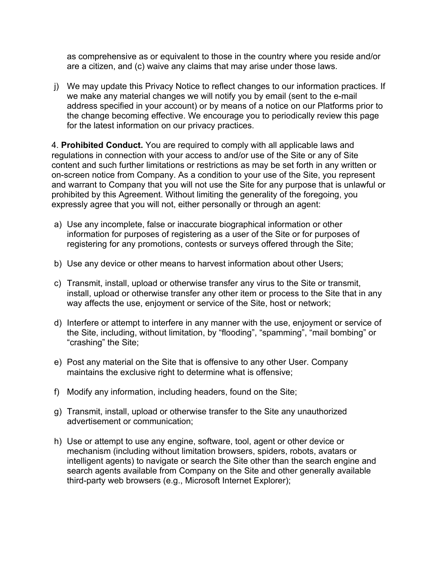as comprehensive as or equivalent to those in the country where you reside and/or are a citizen, and (c) waive any claims that may arise under those laws.

j) We may update this Privacy Notice to reflect changes to our information practices. If we make any material changes we will notify you by email (sent to the e-mail address specified in your account) or by means of a notice on our Platforms prior to the change becoming effective. We encourage you to periodically review this page for the latest information on our privacy practices.

4. **Prohibited Conduct.** You are required to comply with all applicable laws and regulations in connection with your access to and/or use of the Site or any of Site content and such further limitations or restrictions as may be set forth in any written or on-screen notice from Company. As a condition to your use of the Site, you represent and warrant to Company that you will not use the Site for any purpose that is unlawful or prohibited by this Agreement. Without limiting the generality of the foregoing, you expressly agree that you will not, either personally or through an agent:

- a) Use any incomplete, false or inaccurate biographical information or other information for purposes of registering as a user of the Site or for purposes of registering for any promotions, contests or surveys offered through the Site;
- b) Use any device or other means to harvest information about other Users;
- c) Transmit, install, upload or otherwise transfer any virus to the Site or transmit, install, upload or otherwise transfer any other item or process to the Site that in any way affects the use, enjoyment or service of the Site, host or network;
- d) Interfere or attempt to interfere in any manner with the use, enjoyment or service of the Site, including, without limitation, by "flooding", "spamming", "mail bombing" or "crashing" the Site;
- e) Post any material on the Site that is offensive to any other User. Company maintains the exclusive right to determine what is offensive;
- f) Modify any information, including headers, found on the Site;
- g) Transmit, install, upload or otherwise transfer to the Site any unauthorized advertisement or communication;
- h) Use or attempt to use any engine, software, tool, agent or other device or mechanism (including without limitation browsers, spiders, robots, avatars or intelligent agents) to navigate or search the Site other than the search engine and search agents available from Company on the Site and other generally available third-party web browsers (e.g., Microsoft Internet Explorer);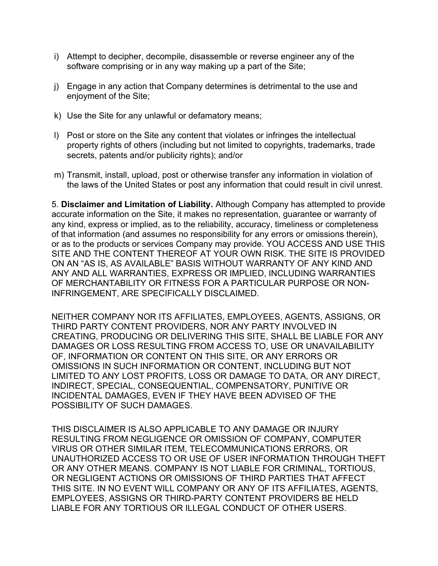- i) Attempt to decipher, decompile, disassemble or reverse engineer any of the software comprising or in any way making up a part of the Site;
- j) Engage in any action that Company determines is detrimental to the use and enjoyment of the Site;
- k) Use the Site for any unlawful or defamatory means;
- l) Post or store on the Site any content that violates or infringes the intellectual property rights of others (including but not limited to copyrights, trademarks, trade secrets, patents and/or publicity rights); and/or
- m) Transmit, install, upload, post or otherwise transfer any information in violation of the laws of the United States or post any information that could result in civil unrest.

5. **Disclaimer and Limitation of Liability.** Although Company has attempted to provide accurate information on the Site, it makes no representation, guarantee or warranty of any kind, express or implied, as to the reliability, accuracy, timeliness or completeness of that information (and assumes no responsibility for any errors or omissions therein), or as to the products or services Company may provide. YOU ACCESS AND USE THIS SITE AND THE CONTENT THEREOF AT YOUR OWN RISK. THE SITE IS PROVIDED ON AN "AS IS, AS AVAILABLE" BASIS WITHOUT WARRANTY OF ANY KIND AND ANY AND ALL WARRANTIES, EXPRESS OR IMPLIED, INCLUDING WARRANTIES OF MERCHANTABILITY OR FITNESS FOR A PARTICULAR PURPOSE OR NON-INFRINGEMENT, ARE SPECIFICALLY DISCLAIMED.

NEITHER COMPANY NOR ITS AFFILIATES, EMPLOYEES, AGENTS, ASSIGNS, OR THIRD PARTY CONTENT PROVIDERS, NOR ANY PARTY INVOLVED IN CREATING, PRODUCING OR DELIVERING THIS SITE, SHALL BE LIABLE FOR ANY DAMAGES OR LOSS RESULTING FROM ACCESS TO, USE OR UNAVAILABILITY OF, INFORMATION OR CONTENT ON THIS SITE, OR ANY ERRORS OR OMISSIONS IN SUCH INFORMATION OR CONTENT, INCLUDING BUT NOT LIMITED TO ANY LOST PROFITS, LOSS OR DAMAGE TO DATA, OR ANY DIRECT, INDIRECT, SPECIAL, CONSEQUENTIAL, COMPENSATORY, PUNITIVE OR INCIDENTAL DAMAGES, EVEN IF THEY HAVE BEEN ADVISED OF THE POSSIBILITY OF SUCH DAMAGES.

THIS DISCLAIMER IS ALSO APPLICABLE TO ANY DAMAGE OR INJURY RESULTING FROM NEGLIGENCE OR OMISSION OF COMPANY, COMPUTER VIRUS OR OTHER SIMILAR ITEM, TELECOMMUNICATIONS ERRORS, OR UNAUTHORIZED ACCESS TO OR USE OF USER INFORMATION THROUGH THEFT OR ANY OTHER MEANS. COMPANY IS NOT LIABLE FOR CRIMINAL, TORTIOUS, OR NEGLIGENT ACTIONS OR OMISSIONS OF THIRD PARTIES THAT AFFECT THIS SITE. IN NO EVENT WILL COMPANY OR ANY OF ITS AFFILIATES, AGENTS, EMPLOYEES, ASSIGNS OR THIRD-PARTY CONTENT PROVIDERS BE HELD LIABLE FOR ANY TORTIOUS OR ILLEGAL CONDUCT OF OTHER USERS.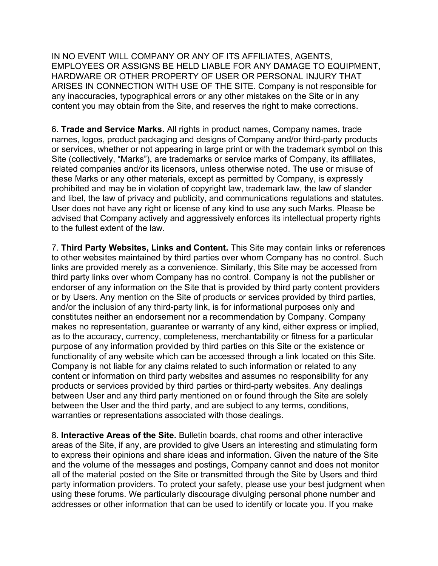IN NO EVENT WILL COMPANY OR ANY OF ITS AFFILIATES, AGENTS, EMPLOYEES OR ASSIGNS BE HELD LIABLE FOR ANY DAMAGE TO EQUIPMENT, HARDWARE OR OTHER PROPERTY OF USER OR PERSONAL INJURY THAT ARISES IN CONNECTION WITH USE OF THE SITE. Company is not responsible for any inaccuracies, typographical errors or any other mistakes on the Site or in any content you may obtain from the Site, and reserves the right to make corrections.

6. **Trade and Service Marks.** All rights in product names, Company names, trade names, logos, product packaging and designs of Company and/or third-party products or services, whether or not appearing in large print or with the trademark symbol on this Site (collectively, "Marks"), are trademarks or service marks of Company, its affiliates, related companies and/or its licensors, unless otherwise noted. The use or misuse of these Marks or any other materials, except as permitted by Company, is expressly prohibited and may be in violation of copyright law, trademark law, the law of slander and libel, the law of privacy and publicity, and communications regulations and statutes. User does not have any right or license of any kind to use any such Marks. Please be advised that Company actively and aggressively enforces its intellectual property rights to the fullest extent of the law.

7. **Third Party Websites, Links and Content.** This Site may contain links or references to other websites maintained by third parties over whom Company has no control. Such links are provided merely as a convenience. Similarly, this Site may be accessed from third party links over whom Company has no control. Company is not the publisher or endorser of any information on the Site that is provided by third party content providers or by Users. Any mention on the Site of products or services provided by third parties, and/or the inclusion of any third-party link, is for informational purposes only and constitutes neither an endorsement nor a recommendation by Company. Company makes no representation, guarantee or warranty of any kind, either express or implied, as to the accuracy, currency, completeness, merchantability or fitness for a particular purpose of any information provided by third parties on this Site or the existence or functionality of any website which can be accessed through a link located on this Site. Company is not liable for any claims related to such information or related to any content or information on third party websites and assumes no responsibility for any products or services provided by third parties or third-party websites. Any dealings between User and any third party mentioned on or found through the Site are solely between the User and the third party, and are subject to any terms, conditions, warranties or representations associated with those dealings.

8. **Interactive Areas of the Site.** Bulletin boards, chat rooms and other interactive areas of the Site, if any, are provided to give Users an interesting and stimulating form to express their opinions and share ideas and information. Given the nature of the Site and the volume of the messages and postings, Company cannot and does not monitor all of the material posted on the Site or transmitted through the Site by Users and third party information providers. To protect your safety, please use your best judgment when using these forums. We particularly discourage divulging personal phone number and addresses or other information that can be used to identify or locate you. If you make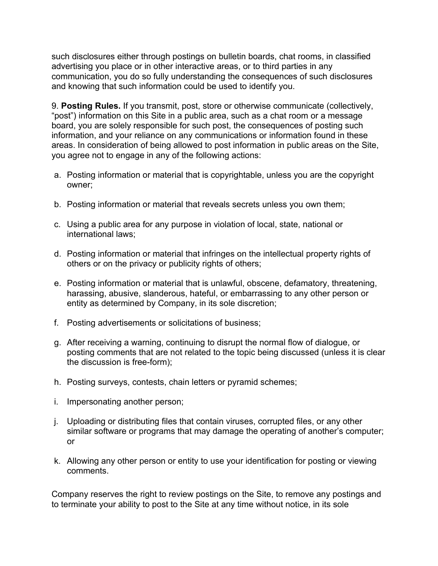such disclosures either through postings on bulletin boards, chat rooms, in classified advertising you place or in other interactive areas, or to third parties in any communication, you do so fully understanding the consequences of such disclosures and knowing that such information could be used to identify you.

9. **Posting Rules.** If you transmit, post, store or otherwise communicate (collectively, "post") information on this Site in a public area, such as a chat room or a message board, you are solely responsible for such post, the consequences of posting such information, and your reliance on any communications or information found in these areas. In consideration of being allowed to post information in public areas on the Site, you agree not to engage in any of the following actions:

- a. Posting information or material that is copyrightable, unless you are the copyright owner;
- b. Posting information or material that reveals secrets unless you own them;
- c. Using a public area for any purpose in violation of local, state, national or international laws;
- d. Posting information or material that infringes on the intellectual property rights of others or on the privacy or publicity rights of others;
- e. Posting information or material that is unlawful, obscene, defamatory, threatening, harassing, abusive, slanderous, hateful, or embarrassing to any other person or entity as determined by Company, in its sole discretion;
- f. Posting advertisements or solicitations of business;
- g. After receiving a warning, continuing to disrupt the normal flow of dialogue, or posting comments that are not related to the topic being discussed (unless it is clear the discussion is free-form);
- h. Posting surveys, contests, chain letters or pyramid schemes;
- i. Impersonating another person;
- j. Uploading or distributing files that contain viruses, corrupted files, or any other similar software or programs that may damage the operating of another's computer; or
- k. Allowing any other person or entity to use your identification for posting or viewing comments.

Company reserves the right to review postings on the Site, to remove any postings and to terminate your ability to post to the Site at any time without notice, in its sole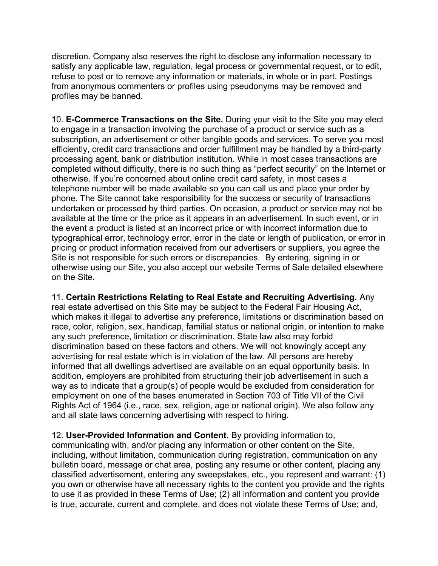discretion. Company also reserves the right to disclose any information necessary to satisfy any applicable law, regulation, legal process or governmental request, or to edit, refuse to post or to remove any information or materials, in whole or in part. Postings from anonymous commenters or profiles using pseudonyms may be removed and profiles may be banned.

10. **E-Commerce Transactions on the Site.** During your visit to the Site you may elect to engage in a transaction involving the purchase of a product or service such as a subscription, an advertisement or other tangible goods and services. To serve you most efficiently, credit card transactions and order fulfillment may be handled by a third-party processing agent, bank or distribution institution. While in most cases transactions are completed without difficulty, there is no such thing as "perfect security" on the Internet or otherwise. If you're concerned about online credit card safety, in most cases a telephone number will be made available so you can call us and place your order by phone. The Site cannot take responsibility for the success or security of transactions undertaken or processed by third parties. On occasion, a product or service may not be available at the time or the price as it appears in an advertisement. In such event, or in the event a product is listed at an incorrect price or with incorrect information due to typographical error, technology error, error in the date or length of publication, or error in pricing or product information received from our advertisers or suppliers, you agree the Site is not responsible for such errors or discrepancies. By entering, signing in or otherwise using our Site, you also accept our website Terms of Sale detailed elsewhere on the Site.

11. **Certain Restrictions Relating to Real Estate and Recruiting Advertising.** Any real estate advertised on this Site may be subject to the Federal Fair Housing Act, which makes it illegal to advertise any preference, limitations or discrimination based on race, color, religion, sex, handicap, familial status or national origin, or intention to make any such preference, limitation or discrimination. State law also may forbid discrimination based on these factors and others. We will not knowingly accept any advertising for real estate which is in violation of the law. All persons are hereby informed that all dwellings advertised are available on an equal opportunity basis. In addition, employers are prohibited from structuring their job advertisement in such a way as to indicate that a group(s) of people would be excluded from consideration for employment on one of the bases enumerated in Section 703 of Title VII of the Civil Rights Act of 1964 (i.e., race, sex, religion, age or national origin). We also follow any and all state laws concerning advertising with respect to hiring.

12. **User-Provided Information and Content.** By providing information to, communicating with, and/or placing any information or other content on the Site, including, without limitation, communication during registration, communication on any bulletin board, message or chat area, posting any resume or other content, placing any classified advertisement, entering any sweepstakes, etc., you represent and warrant: (1) you own or otherwise have all necessary rights to the content you provide and the rights to use it as provided in these Terms of Use; (2) all information and content you provide is true, accurate, current and complete, and does not violate these Terms of Use; and,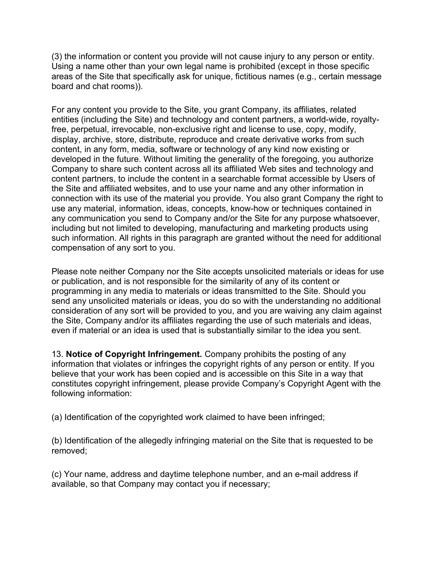(3) the information or content you provide will not cause injury to any person or entity. Using a name other than your own legal name is prohibited (except in those specific areas of the Site that specifically ask for unique, fictitious names (e.g., certain message board and chat rooms)).

For any content you provide to the Site, you grant Company, its affiliates, related entities (including the Site) and technology and content partners, a world-wide, royaltyfree, perpetual, irrevocable, non-exclusive right and license to use, copy, modify, display, archive, store, distribute, reproduce and create derivative works from such content, in any form, media, software or technology of any kind now existing or developed in the future. Without limiting the generality of the foregoing, you authorize Company to share such content across all its affiliated Web sites and technology and content partners, to include the content in a searchable format accessible by Users of the Site and affiliated websites, and to use your name and any other information in connection with its use of the material you provide. You also grant Company the right to use any material, information, ideas, concepts, know-how or techniques contained in any communication you send to Company and/or the Site for any purpose whatsoever, including but not limited to developing, manufacturing and marketing products using such information. All rights in this paragraph are granted without the need for additional compensation of any sort to you.

Please note neither Company nor the Site accepts unsolicited materials or ideas for use or publication, and is not responsible for the similarity of any of its content or programming in any media to materials or ideas transmitted to the Site. Should you send any unsolicited materials or ideas, you do so with the understanding no additional consideration of any sort will be provided to you, and you are waiving any claim against the Site, Company and/or its affiliates regarding the use of such materials and ideas, even if material or an idea is used that is substantially similar to the idea you sent.

13. **Notice of Copyright Infringement.** Company prohibits the posting of any information that violates or infringes the copyright rights of any person or entity. If you believe that your work has been copied and is accessible on this Site in a way that constitutes copyright infringement, please provide Company's Copyright Agent with the following information:

(a) Identification of the copyrighted work claimed to have been infringed;

(b) Identification of the allegedly infringing material on the Site that is requested to be removed;

(c) Your name, address and daytime telephone number, and an e-mail address if available, so that Company may contact you if necessary;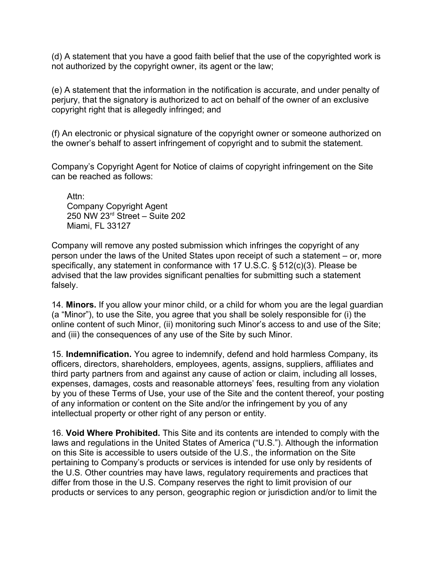(d) A statement that you have a good faith belief that the use of the copyrighted work is not authorized by the copyright owner, its agent or the law;

(e) A statement that the information in the notification is accurate, and under penalty of perjury, that the signatory is authorized to act on behalf of the owner of an exclusive copyright right that is allegedly infringed; and

(f) An electronic or physical signature of the copyright owner or someone authorized on the owner's behalf to assert infringement of copyright and to submit the statement.

Company's Copyright Agent for Notice of claims of copyright infringement on the Site can be reached as follows:

Attn: Company Copyright Agent 250 NW 23rd Street – Suite 202 Miami, FL 33127

Company will remove any posted submission which infringes the copyright of any person under the laws of the United States upon receipt of such a statement – or, more specifically, any statement in conformance with 17 U.S.C. § 512(c)(3). Please be advised that the law provides significant penalties for submitting such a statement falsely.

14. **Minors.** If you allow your minor child, or a child for whom you are the legal guardian (a "Minor"), to use the Site, you agree that you shall be solely responsible for (i) the online content of such Minor, (ii) monitoring such Minor's access to and use of the Site; and (iii) the consequences of any use of the Site by such Minor.

15. **Indemnification.** You agree to indemnify, defend and hold harmless Company, its officers, directors, shareholders, employees, agents, assigns, suppliers, affiliates and third party partners from and against any cause of action or claim, including all losses, expenses, damages, costs and reasonable attorneys' fees, resulting from any violation by you of these Terms of Use, your use of the Site and the content thereof, your posting of any information or content on the Site and/or the infringement by you of any intellectual property or other right of any person or entity.

16. **Void Where Prohibited.** This Site and its contents are intended to comply with the laws and regulations in the United States of America ("U.S."). Although the information on this Site is accessible to users outside of the U.S., the information on the Site pertaining to Company's products or services is intended for use only by residents of the U.S. Other countries may have laws, regulatory requirements and practices that differ from those in the U.S. Company reserves the right to limit provision of our products or services to any person, geographic region or jurisdiction and/or to limit the